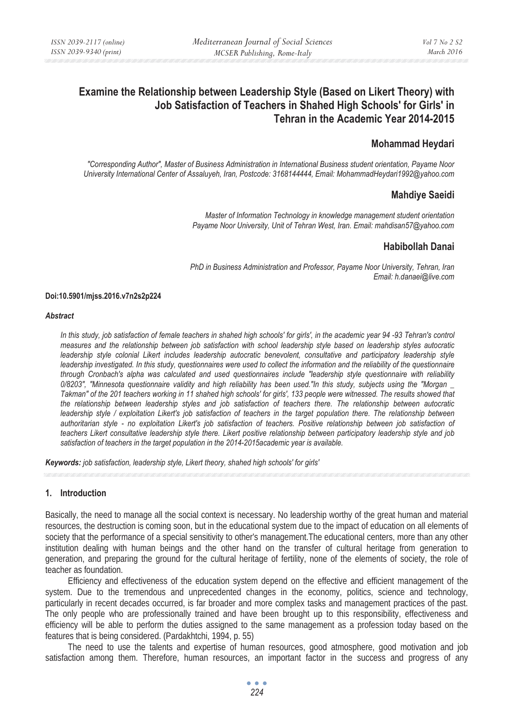# **Examine the Relationship between Leadership Style (Based on Likert Theory) with Job Satisfaction of Teachers in Shahed High Schools' for Girls' in Tehran in the Academic Year 2014-2015**

# **Mohammad Heydari**

*"Corresponding Author", Master of Business Administration in International Business student orientation, Payame Noor University International Center of Assaluyeh, Iran, Postcode: 3168144444, Email: MohammadHeydari1992@yahoo.com* 

# **Mahdiye Saeidi**

*Master of Information Technology in knowledge management student orientation Payame Noor University, Unit of Tehran West, Iran. Email: mahdisan57@yahoo.com* 

# **Habibollah Danai**

*PhD in Business Administration and Professor, Payame Noor University, Tehran, Iran Email: h.danaei@live.com* 

#### **Doi:10.5901/mjss.2016.v7n2s2p224**

#### *Abstract*

*In this study, job satisfaction of female teachers in shahed high schools' for girls', in the academic year 94 -93 Tehran's control measures and the relationship between job satisfaction with school leadership style based on leadership styles autocratic*  leadership style colonial Likert includes leadership autocratic benevolent, consultative and participatory leadership style leadership investigated. In this study, questionnaires were used to collect the information and the reliability of the questionnaire *through Cronbach's alpha was calculated and used questionnaires include "leadership style questionnaire with reliability 0/8203", "Minnesota questionnaire validity and high reliability has been used."In this study, subjects using the "Morgan \_ Takman" of the 201 teachers working in 11 shahed high schools' for girls', 133 people were witnessed. The results showed that the relationship between leadership styles and job satisfaction of teachers there. The relationship between autocratic leadership style / exploitation Likert's job satisfaction of teachers in the target population there. The relationship between authoritarian style - no exploitation Likert's job satisfaction of teachers. Positive relationship between job satisfaction of teachers Likert consultative leadership style there. Likert positive relationship between participatory leadership style and job satisfaction of teachers in the target population in the 2014-2015academic year is available.* 

*Keywords: job satisfaction, leadership style, Likert theory, shahed high schools' for girls'*

#### **1. Introduction**

Basically, the need to manage all the social context is necessary. No leadership worthy of the great human and material resources, the destruction is coming soon, but in the educational system due to the impact of education on all elements of society that the performance of a special sensitivity to other's management.The educational centers, more than any other institution dealing with human beings and the other hand on the transfer of cultural heritage from generation to generation, and preparing the ground for the cultural heritage of fertility, none of the elements of society, the role of teacher as foundation.

Efficiency and effectiveness of the education system depend on the effective and efficient management of the system. Due to the tremendous and unprecedented changes in the economy, politics, science and technology, particularly in recent decades occurred, is far broader and more complex tasks and management practices of the past. The only people who are professionally trained and have been brought up to this responsibility, effectiveness and efficiency will be able to perform the duties assigned to the same management as a profession today based on the features that is being considered. (Pardakhtchi, 1994, p. 55)

The need to use the talents and expertise of human resources, good atmosphere, good motivation and job satisfaction among them. Therefore, human resources, an important factor in the success and progress of any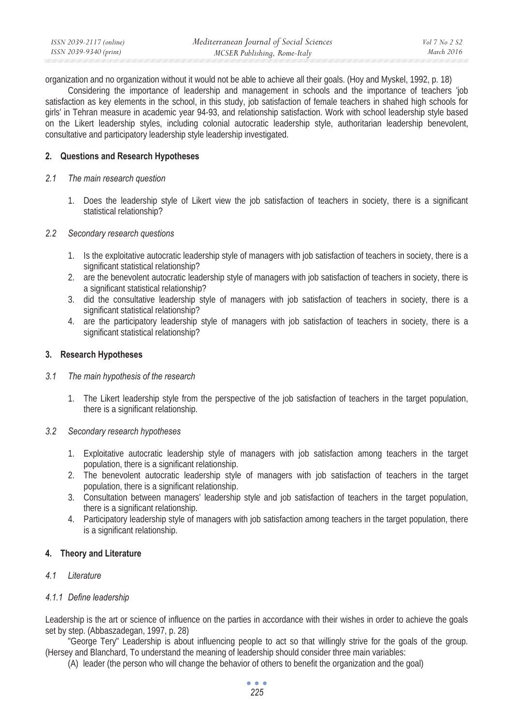| ISSN 2039-2117 (online) | Mediterranean Journal of Social Sciences | Vol 7 No 2 S2 |
|-------------------------|------------------------------------------|---------------|
| ISSN 2039-9340 (print)  | MCSER Publishing, Rome-Italy             | March 2016    |

organization and no organization without it would not be able to achieve all their goals. (Hoy and Myskel, 1992, p. 18)

Considering the importance of leadership and management in schools and the importance of teachers 'job satisfaction as key elements in the school, in this study, job satisfaction of female teachers in shahed high schools for girls' in Tehran measure in academic year 94-93, and relationship satisfaction. Work with school leadership style based on the Likert leadership styles, including colonial autocratic leadership style, authoritarian leadership benevolent, consultative and participatory leadership style leadership investigated.

#### **2. Questions and Research Hypotheses**

#### *2.1 The main research question*

1. Does the leadership style of Likert view the job satisfaction of teachers in society, there is a significant statistical relationship?

#### *2.2 Secondary research questions*

- 1. Is the exploitative autocratic leadership style of managers with job satisfaction of teachers in society, there is a significant statistical relationship?
- 2. are the benevolent autocratic leadership style of managers with job satisfaction of teachers in society, there is a significant statistical relationship?
- 3. did the consultative leadership style of managers with job satisfaction of teachers in society, there is a significant statistical relationship?
- 4. are the participatory leadership style of managers with job satisfaction of teachers in society, there is a significant statistical relationship?

#### **3. Research Hypotheses**

- *3.1 The main hypothesis of the research* 
	- 1. The Likert leadership style from the perspective of the job satisfaction of teachers in the target population, there is a significant relationship.

#### *3.2 Secondary research hypotheses*

- 1. Exploitative autocratic leadership style of managers with job satisfaction among teachers in the target population, there is a significant relationship.
- 2. The benevolent autocratic leadership style of managers with job satisfaction of teachers in the target population, there is a significant relationship.
- 3. Consultation between managers' leadership style and job satisfaction of teachers in the target population, there is a significant relationship.
- 4. Participatory leadership style of managers with job satisfaction among teachers in the target population, there is a significant relationship.

#### **4. Theory and Literature**

# *4.1 Literature*

#### *4.1.1 Define leadership*

Leadership is the art or science of influence on the parties in accordance with their wishes in order to achieve the goals set by step. (Abbaszadegan, 1997, p. 28)

"George Tery" Leadership is about influencing people to act so that willingly strive for the goals of the group. (Hersey and Blanchard, To understand the meaning of leadership should consider three main variables:

(A) leader (the person who will change the behavior of others to benefit the organization and the goal)

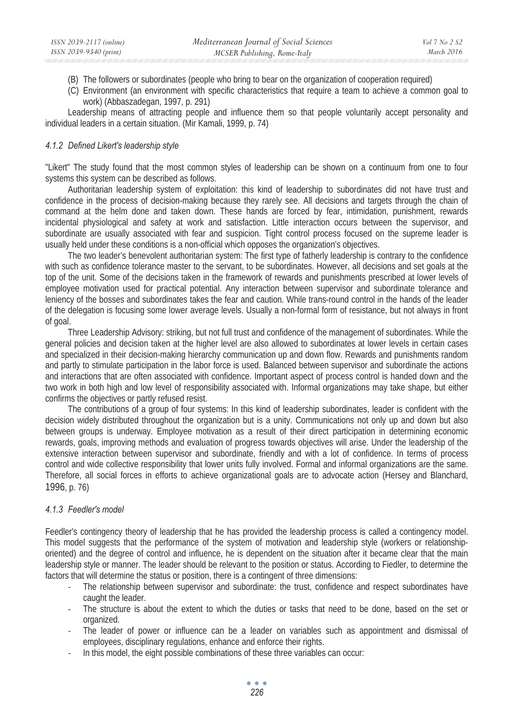- (B) The followers or subordinates (people who bring to bear on the organization of cooperation required)
- (C) Environment (an environment with specific characteristics that require a team to achieve a common goal to work) (Abbaszadegan, 1997, p. 291)

Leadership means of attracting people and influence them so that people voluntarily accept personality and individual leaders in a certain situation. (Mir Kamali, 1999, p. 74)

#### *4.1.2 Defined Likert's leadership style*

"Likert" The study found that the most common styles of leadership can be shown on a continuum from one to four systems this system can be described as follows.

Authoritarian leadership system of exploitation: this kind of leadership to subordinates did not have trust and confidence in the process of decision-making because they rarely see. All decisions and targets through the chain of command at the helm done and taken down. These hands are forced by fear, intimidation, punishment, rewards incidental physiological and safety at work and satisfaction. Little interaction occurs between the supervisor, and subordinate are usually associated with fear and suspicion. Tight control process focused on the supreme leader is usually held under these conditions is a non-official which opposes the organization's objectives.

The two leader's benevolent authoritarian system: The first type of fatherly leadership is contrary to the confidence with such as confidence tolerance master to the servant, to be subordinates. However, all decisions and set goals at the top of the unit. Some of the decisions taken in the framework of rewards and punishments prescribed at lower levels of employee motivation used for practical potential. Any interaction between supervisor and subordinate tolerance and leniency of the bosses and subordinates takes the fear and caution. While trans-round control in the hands of the leader of the delegation is focusing some lower average levels. Usually a non-formal form of resistance, but not always in front of goal.

Three Leadership Advisory: striking, but not full trust and confidence of the management of subordinates. While the general policies and decision taken at the higher level are also allowed to subordinates at lower levels in certain cases and specialized in their decision-making hierarchy communication up and down flow. Rewards and punishments random and partly to stimulate participation in the labor force is used. Balanced between supervisor and subordinate the actions and interactions that are often associated with confidence. Important aspect of process control is handed down and the two work in both high and low level of responsibility associated with. Informal organizations may take shape, but either confirms the objectives or partly refused resist.

The contributions of a group of four systems: In this kind of leadership subordinates, leader is confident with the decision widely distributed throughout the organization but is a unity. Communications not only up and down but also between groups is underway. Employee motivation as a result of their direct participation in determining economic rewards, goals, improving methods and evaluation of progress towards objectives will arise. Under the leadership of the extensive interaction between supervisor and subordinate, friendly and with a lot of confidence. In terms of process control and wide collective responsibility that lower units fully involved. Formal and informal organizations are the same. Therefore, all social forces in efforts to achieve organizational goals are to advocate action (Hersey and Blanchard, 1996, p. 76)

# *4.1.3 Feedler's model*

Feedler's contingency theory of leadership that he has provided the leadership process is called a contingency model. This model suggests that the performance of the system of motivation and leadership style (workers or relationshiporiented) and the degree of control and influence, he is dependent on the situation after it became clear that the main leadership style or manner. The leader should be relevant to the position or status. According to Fiedler, to determine the factors that will determine the status or position, there is a contingent of three dimensions:

- The relationship between supervisor and subordinate: the trust, confidence and respect subordinates have caught the leader.
- The structure is about the extent to which the duties or tasks that need to be done, based on the set or organized.
- The leader of power or influence can be a leader on variables such as appointment and dismissal of employees, disciplinary regulations, enhance and enforce their rights.
- In this model, the eight possible combinations of these three variables can occur: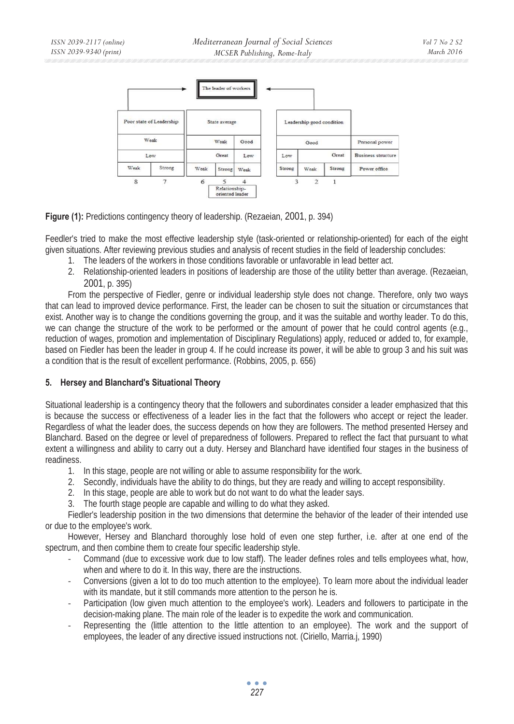

**Figure (1):** Predictions contingency theory of leadership. (Rezaeian, 2001, p. 394)

Feedler's tried to make the most effective leadership style (task-oriented or relationship-oriented) for each of the eight given situations. After reviewing previous studies and analysis of recent studies in the field of leadership concludes:

- 1. The leaders of the workers in those conditions favorable or unfavorable in lead better act.
- 2. Relationship-oriented leaders in positions of leadership are those of the utility better than average. (Rezaeian, 2001, p. 395)

From the perspective of Fiedler, genre or individual leadership style does not change. Therefore, only two ways that can lead to improved device performance. First, the leader can be chosen to suit the situation or circumstances that exist. Another way is to change the conditions governing the group, and it was the suitable and worthy leader. To do this, we can change the structure of the work to be performed or the amount of power that he could control agents (e.g., reduction of wages, promotion and implementation of Disciplinary Regulations) apply, reduced or added to, for example, based on Fiedler has been the leader in group 4. If he could increase its power, it will be able to group 3 and his suit was a condition that is the result of excellent performance. (Robbins, 2005, p. 656)

# **5. Hersey and Blanchard's Situational Theory**

Situational leadership is a contingency theory that the followers and subordinates consider a leader emphasized that this is because the success or effectiveness of a leader lies in the fact that the followers who accept or reject the leader. Regardless of what the leader does, the success depends on how they are followers. The method presented Hersey and Blanchard. Based on the degree or level of preparedness of followers. Prepared to reflect the fact that pursuant to what extent a willingness and ability to carry out a duty. Hersey and Blanchard have identified four stages in the business of readiness.

- 1. In this stage, people are not willing or able to assume responsibility for the work.
- 2. Secondly, individuals have the ability to do things, but they are ready and willing to accept responsibility.
- 2. In this stage, people are able to work but do not want to do what the leader says.
- 3. The fourth stage people are capable and willing to do what they asked.

Fiedler's leadership position in the two dimensions that determine the behavior of the leader of their intended use or due to the employee's work.

However, Hersey and Blanchard thoroughly lose hold of even one step further, i.e. after at one end of the spectrum, and then combine them to create four specific leadership style.

- Command (due to excessive work due to low staff). The leader defines roles and tells employees what, how, when and where to do it. In this way, there are the instructions.
- Conversions (given a lot to do too much attention to the employee). To learn more about the individual leader with its mandate, but it still commands more attention to the person he is.
- Participation (low given much attention to the employee's work). Leaders and followers to participate in the decision-making plane. The main role of the leader is to expedite the work and communication.
- Representing the (little attention to the little attention to an employee). The work and the support of employees, the leader of any directive issued instructions not. (Ciriello, Marria.j, 1990)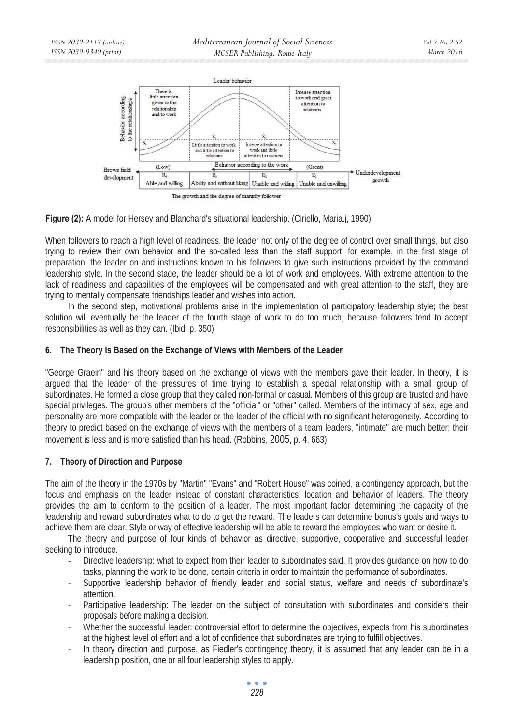

**Figure (2):** A model for Hersey and Blanchard's situational leadership. (Ciriello, Maria.j, 1990)

When followers to reach a high level of readiness, the leader not only of the degree of control over small things, but also trying to review their own behavior and the so-called less than the staff support, for example, in the first stage of preparation, the leader on and instructions known to his followers to give such instructions provided by the command leadership style. In the second stage, the leader should be a lot of work and employees. With extreme attention to the lack of readiness and capabilities of the employees will be compensated and with great attention to the staff, they are trying to mentally compensate friendships leader and wishes into action.

In the second step, motivational problems arise in the implementation of participatory leadership style; the best solution will eventually be the leader of the fourth stage of work to do too much, because followers tend to accept responsibilities as well as they can. (Ibid, p. 350)

# **6. The Theory is Based on the Exchange of Views with Members of the Leader**

"George Graein" and his theory based on the exchange of views with the members gave their leader. In theory, it is argued that the leader of the pressures of time trying to establish a special relationship with a small group of subordinates. He formed a close group that they called non-formal or casual. Members of this group are trusted and have special privileges. The group's other members of the "official" or "other" called. Members of the intimacy of sex, age and personality are more compatible with the leader or the leader of the official with no significant heterogeneity. According to theory to predict based on the exchange of views with the members of a team leaders, "intimate" are much better; their movement is less and is more satisfied than his head. (Robbins, 2005, p. 4, 663)

# **7. Theory of Direction and Purpose**

The aim of the theory in the 1970s by "Martin" "Evans" and "Robert House" was coined, a contingency approach, but the focus and emphasis on the leader instead of constant characteristics, location and behavior of leaders. The theory provides the aim to conform to the position of a leader. The most important factor determining the capacity of the leadership and reward subordinates what to do to get the reward. The leaders can determine bonus's goals and ways to achieve them are clear. Style or way of effective leadership will be able to reward the employees who want or desire it.

The theory and purpose of four kinds of behavior as directive, supportive, cooperative and successful leader seeking to introduce.

- Directive leadership: what to expect from their leader to subordinates said. It provides guidance on how to do tasks, planning the work to be done, certain criteria in order to maintain the performance of subordinates.
- Supportive leadership behavior of friendly leader and social status, welfare and needs of subordinate's attention.
- Participative leadership: The leader on the subject of consultation with subordinates and considers their proposals before making a decision.
- Whether the successful leader: controversial effort to determine the objectives, expects from his subordinates at the highest level of effort and a lot of confidence that subordinates are trying to fulfill objectives.
- In theory direction and purpose, as Fiedler's contingency theory, it is assumed that any leader can be in a leadership position, one or all four leadership styles to apply.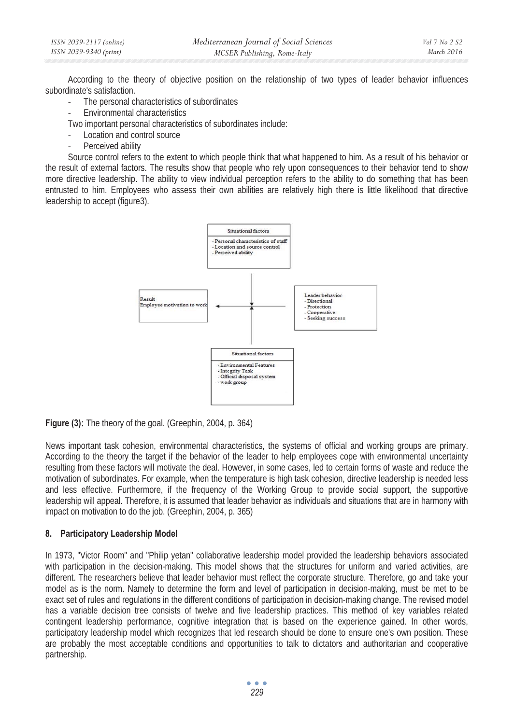According to the theory of objective position on the relationship of two types of leader behavior influences subordinate's satisfaction.

- The personal characteristics of subordinates
- Environmental characteristics

Two important personal characteristics of subordinates include:

- Location and control source
- Perceived ability

*ISSN 2039-2117 (online) ISSN 2039-9340 (print)* 

Source control refers to the extent to which people think that what happened to him. As a result of his behavior or the result of external factors. The results show that people who rely upon consequences to their behavior tend to show more directive leadership. The ability to view individual perception refers to the ability to do something that has been entrusted to him. Employees who assess their own abilities are relatively high there is little likelihood that directive leadership to accept (figure3).



**Figure (3)**: The theory of the goal. (Greephin, 2004, p. 364)

News important task cohesion, environmental characteristics, the systems of official and working groups are primary. According to the theory the target if the behavior of the leader to help employees cope with environmental uncertainty resulting from these factors will motivate the deal. However, in some cases, led to certain forms of waste and reduce the motivation of subordinates. For example, when the temperature is high task cohesion, directive leadership is needed less and less effective. Furthermore, if the frequency of the Working Group to provide social support, the supportive leadership will appeal. Therefore, it is assumed that leader behavior as individuals and situations that are in harmony with impact on motivation to do the job. (Greephin, 2004, p. 365)

# **8. Participatory Leadership Model**

In 1973, "Victor Room" and "Philip yetan" collaborative leadership model provided the leadership behaviors associated with participation in the decision-making. This model shows that the structures for uniform and varied activities, are different. The researchers believe that leader behavior must reflect the corporate structure. Therefore, go and take your model as is the norm. Namely to determine the form and level of participation in decision-making, must be met to be exact set of rules and regulations in the different conditions of participation in decision-making change. The revised model has a variable decision tree consists of twelve and five leadership practices. This method of key variables related contingent leadership performance, cognitive integration that is based on the experience gained. In other words, participatory leadership model which recognizes that led research should be done to ensure one's own position. These are probably the most acceptable conditions and opportunities to talk to dictators and authoritarian and cooperative partnership.

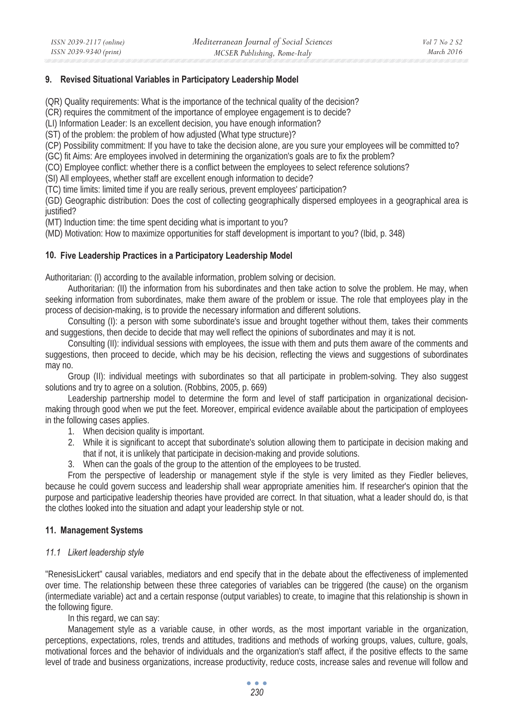# **9. Revised Situational Variables in Participatory Leadership Model**

(QR) Quality requirements: What is the importance of the technical quality of the decision?

(CR) requires the commitment of the importance of employee engagement is to decide?

(LI) Information Leader: Is an excellent decision, you have enough information?

(ST) of the problem: the problem of how adjusted (What type structure)?

(CP) Possibility commitment: If you have to take the decision alone, are you sure your employees will be committed to?

(GC) fit Aims: Are employees involved in determining the organization's goals are to fix the problem?

(CO) Employee conflict: whether there is a conflict between the employees to select reference solutions?

(SI) All employees, whether staff are excellent enough information to decide?

(TC) time limits: limited time if you are really serious, prevent employees' participation?

(GD) Geographic distribution: Does the cost of collecting geographically dispersed employees in a geographical area is justified?

(MT) Induction time: the time spent deciding what is important to you?

(MD) Motivation: How to maximize opportunities for staff development is important to you? (Ibid, p. 348)

# **10. Five Leadership Practices in a Participatory Leadership Model**

Authoritarian: (I) according to the available information, problem solving or decision.

Authoritarian: (II) the information from his subordinates and then take action to solve the problem. He may, when seeking information from subordinates, make them aware of the problem or issue. The role that employees play in the process of decision-making, is to provide the necessary information and different solutions.

Consulting (I): a person with some subordinate's issue and brought together without them, takes their comments and suggestions, then decide to decide that may well reflect the opinions of subordinates and may it is not.

Consulting (II): individual sessions with employees, the issue with them and puts them aware of the comments and suggestions, then proceed to decide, which may be his decision, reflecting the views and suggestions of subordinates may no.

Group (II): individual meetings with subordinates so that all participate in problem-solving. They also suggest solutions and try to agree on a solution. (Robbins, 2005, p. 669)

Leadership partnership model to determine the form and level of staff participation in organizational decisionmaking through good when we put the feet. Moreover, empirical evidence available about the participation of employees in the following cases applies.

- 1. When decision quality is important.
- 2. While it is significant to accept that subordinate's solution allowing them to participate in decision making and that if not, it is unlikely that participate in decision-making and provide solutions.
- 3. When can the goals of the group to the attention of the employees to be trusted.

From the perspective of leadership or management style if the style is very limited as they Fiedler believes, because he could govern success and leadership shall wear appropriate amenities him. If researcher's opinion that the purpose and participative leadership theories have provided are correct. In that situation, what a leader should do, is that the clothes looked into the situation and adapt your leadership style or not.

#### **11. Management Systems**

#### *11.1 Likert leadership style*

"RenesisLickert" causal variables, mediators and end specify that in the debate about the effectiveness of implemented over time. The relationship between these three categories of variables can be triggered (the cause) on the organism (intermediate variable) act and a certain response (output variables) to create, to imagine that this relationship is shown in the following figure.

In this regard, we can say:

Management style as a variable cause, in other words, as the most important variable in the organization, perceptions, expectations, roles, trends and attitudes, traditions and methods of working groups, values, culture, goals, motivational forces and the behavior of individuals and the organization's staff affect, if the positive effects to the same level of trade and business organizations, increase productivity, reduce costs, increase sales and revenue will follow and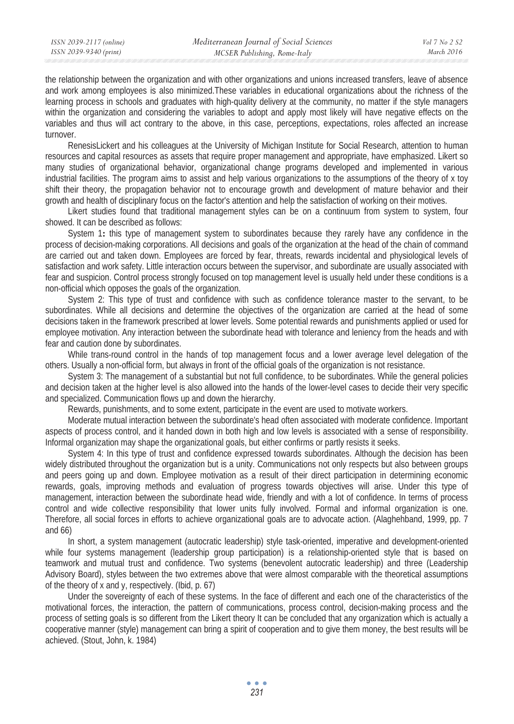the relationship between the organization and with other organizations and unions increased transfers, leave of absence and work among employees is also minimized.These variables in educational organizations about the richness of the learning process in schools and graduates with high-quality delivery at the community, no matter if the style managers within the organization and considering the variables to adopt and apply most likely will have negative effects on the variables and thus will act contrary to the above, in this case, perceptions, expectations, roles affected an increase turnover.

RenesisLickert and his colleagues at the University of Michigan Institute for Social Research, attention to human resources and capital resources as assets that require proper management and appropriate, have emphasized. Likert so many studies of organizational behavior, organizational change programs developed and implemented in various industrial facilities. The program aims to assist and help various organizations to the assumptions of the theory of x toy shift their theory, the propagation behavior not to encourage growth and development of mature behavior and their growth and health of disciplinary focus on the factor's attention and help the satisfaction of working on their motives.

Likert studies found that traditional management styles can be on a continuum from system to system, four showed. It can be described as follows:

System 1**:** this type of management system to subordinates because they rarely have any confidence in the process of decision-making corporations. All decisions and goals of the organization at the head of the chain of command are carried out and taken down. Employees are forced by fear, threats, rewards incidental and physiological levels of satisfaction and work safety. Little interaction occurs between the supervisor, and subordinate are usually associated with fear and suspicion. Control process strongly focused on top management level is usually held under these conditions is a non-official which opposes the goals of the organization.

System 2: This type of trust and confidence with such as confidence tolerance master to the servant, to be subordinates. While all decisions and determine the objectives of the organization are carried at the head of some decisions taken in the framework prescribed at lower levels. Some potential rewards and punishments applied or used for employee motivation. Any interaction between the subordinate head with tolerance and leniency from the heads and with fear and caution done by subordinates.

While trans-round control in the hands of top management focus and a lower average level delegation of the others. Usually a non-official form, but always in front of the official goals of the organization is not resistance.

System 3: The management of a substantial but not full confidence, to be subordinates. While the general policies and decision taken at the higher level is also allowed into the hands of the lower-level cases to decide their very specific and specialized. Communication flows up and down the hierarchy.

Rewards, punishments, and to some extent, participate in the event are used to motivate workers.

Moderate mutual interaction between the subordinate's head often associated with moderate confidence. Important aspects of process control, and it handed down in both high and low levels is associated with a sense of responsibility. Informal organization may shape the organizational goals, but either confirms or partly resists it seeks.

System 4: In this type of trust and confidence expressed towards subordinates. Although the decision has been widely distributed throughout the organization but is a unity. Communications not only respects but also between groups and peers going up and down. Employee motivation as a result of their direct participation in determining economic rewards, goals, improving methods and evaluation of progress towards objectives will arise. Under this type of management, interaction between the subordinate head wide, friendly and with a lot of confidence. In terms of process control and wide collective responsibility that lower units fully involved. Formal and informal organization is one. Therefore, all social forces in efforts to achieve organizational goals are to advocate action. (Alaghehband, 1999, pp. 7 and 66)

In short, a system management (autocratic leadership) style task-oriented, imperative and development-oriented while four systems management (leadership group participation) is a relationship-oriented style that is based on teamwork and mutual trust and confidence. Two systems (benevolent autocratic leadership) and three (Leadership Advisory Board), styles between the two extremes above that were almost comparable with the theoretical assumptions of the theory of x and y, respectively. (Ibid, p. 67)

Under the sovereignty of each of these systems. In the face of different and each one of the characteristics of the motivational forces, the interaction, the pattern of communications, process control, decision-making process and the process of setting goals is so different from the Likert theory It can be concluded that any organization which is actually a cooperative manner (style) management can bring a spirit of cooperation and to give them money, the best results will be achieved. (Stout, John, k. 1984)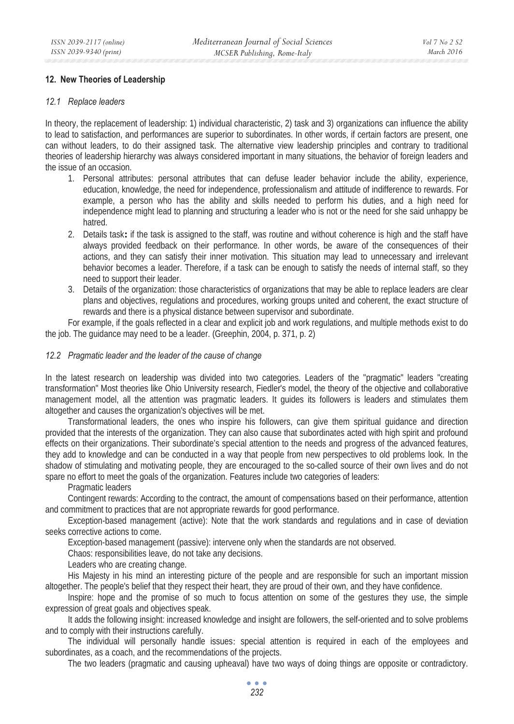# **12. New Theories of Leadership**

#### *12.1 Replace leaders*

In theory, the replacement of leadership: 1) individual characteristic, 2) task and 3) organizations can influence the ability to lead to satisfaction, and performances are superior to subordinates. In other words, if certain factors are present, one can without leaders, to do their assigned task. The alternative view leadership principles and contrary to traditional theories of leadership hierarchy was always considered important in many situations, the behavior of foreign leaders and the issue of an occasion.

- 1. Personal attributes: personal attributes that can defuse leader behavior include the ability, experience, education, knowledge, the need for independence, professionalism and attitude of indifference to rewards. For example, a person who has the ability and skills needed to perform his duties, and a high need for independence might lead to planning and structuring a leader who is not or the need for she said unhappy be hatred.
- 2. Details task**:** if the task is assigned to the staff, was routine and without coherence is high and the staff have always provided feedback on their performance. In other words, be aware of the consequences of their actions, and they can satisfy their inner motivation. This situation may lead to unnecessary and irrelevant behavior becomes a leader. Therefore, if a task can be enough to satisfy the needs of internal staff, so they need to support their leader.
- 3. Details of the organization: those characteristics of organizations that may be able to replace leaders are clear plans and objectives, regulations and procedures, working groups united and coherent, the exact structure of rewards and there is a physical distance between supervisor and subordinate.

For example, if the goals reflected in a clear and explicit job and work regulations, and multiple methods exist to do the job. The guidance may need to be a leader. (Greephin, 2004, p. 371, p. 2)

#### *12.2 Pragmatic leader and the leader of the cause of change*

In the latest research on leadership was divided into two categories. Leaders of the "pragmatic" leaders "creating transformation" Most theories like Ohio University research, Fiedler's model, the theory of the objective and collaborative management model, all the attention was pragmatic leaders. It guides its followers is leaders and stimulates them altogether and causes the organization's objectives will be met.

Transformational leaders, the ones who inspire his followers, can give them spiritual guidance and direction provided that the interests of the organization. They can also cause that subordinates acted with high spirit and profound effects on their organizations. Their subordinate's special attention to the needs and progress of the advanced features, they add to knowledge and can be conducted in a way that people from new perspectives to old problems look. In the shadow of stimulating and motivating people, they are encouraged to the so-called source of their own lives and do not spare no effort to meet the goals of the organization. Features include two categories of leaders:

Pragmatic leaders

Contingent rewards: According to the contract, the amount of compensations based on their performance, attention and commitment to practices that are not appropriate rewards for good performance.

Exception-based management (active): Note that the work standards and regulations and in case of deviation seeks corrective actions to come.

Exception-based management (passive): intervene only when the standards are not observed.

Chaos: responsibilities leave, do not take any decisions.

Leaders who are creating change.

His Majesty in his mind an interesting picture of the people and are responsible for such an important mission altogether. The people's belief that they respect their heart, they are proud of their own, and they have confidence.

Inspire: hope and the promise of so much to focus attention on some of the gestures they use, the simple expression of great goals and objectives speak.

It adds the following insight: increased knowledge and insight are followers, the self-oriented and to solve problems and to comply with their instructions carefully.

The individual will personally handle issues: special attention is required in each of the employees and subordinates, as a coach, and the recommendations of the projects.

The two leaders (pragmatic and causing upheaval) have two ways of doing things are opposite or contradictory.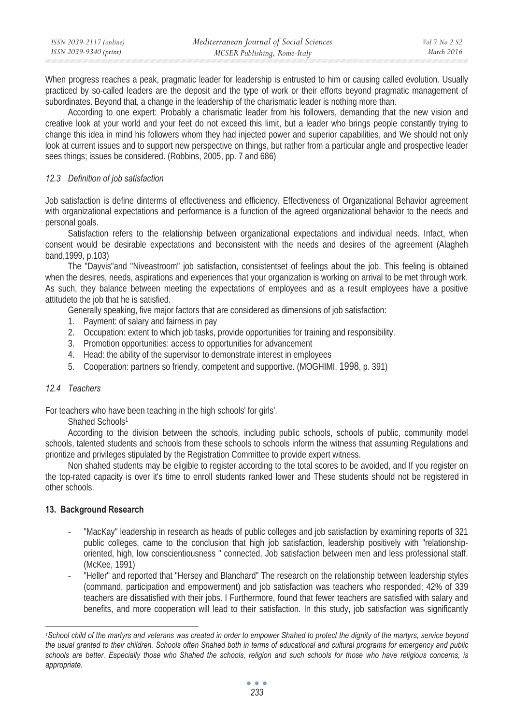| ISSN 2039-2117 (online) | Mediterranean Journal of Social Sciences | Vol 7 No 2 $S$ 2 |
|-------------------------|------------------------------------------|------------------|
| ISSN 2039-9340 (print)  | MCSER Publishing, Rome-Italy             | March 2016       |

When progress reaches a peak, pragmatic leader for leadership is entrusted to him or causing called evolution. Usually practiced by so-called leaders are the deposit and the type of work or their efforts beyond pragmatic management of subordinates. Beyond that, a change in the leadership of the charismatic leader is nothing more than.

According to one expert: Probably a charismatic leader from his followers, demanding that the new vision and creative look at your world and your feet do not exceed this limit, but a leader who brings people constantly trying to change this idea in mind his followers whom they had injected power and superior capabilities, and We should not only look at current issues and to support new perspective on things, but rather from a particular angle and prospective leader sees things; issues be considered. (Robbins, 2005, pp. 7 and 686)

# *12.3 Definition of job satisfaction*

Job satisfaction is define dinterms of effectiveness and efficiency. Effectiveness of Organizational Behavior agreement with organizational expectations and performance is a function of the agreed organizational behavior to the needs and personal goals.

Satisfaction refers to the relationship between organizational expectations and individual needs. Infact, when consent would be desirable expectations and beconsistent with the needs and desires of the agreement (Alagheh band,1999, p.103)

The "Dayvis"and "Niveastroom" job satisfaction, consistentset of feelings about the job. This feeling is obtained when the desires, needs, aspirations and experiences that your organization is working on arrival to be met through work. As such, they balance between meeting the expectations of employees and as a result employees have a positive attitudeto the job that he is satisfied.

Generally speaking, five major factors that are considered as dimensions of job satisfaction:

- 1. Payment: of salary and fairness in pay
- 2. Occupation: extent to which job tasks, provide opportunities for training and responsibility.
- 3. Promotion opportunities: access to opportunities for advancement
- 4. Head: the ability of the supervisor to demonstrate interest in employees
- 5. Cooperation: partners so friendly, competent and supportive. (MOGHIMI, 1998, p. 391)

#### *12.4 Teachers*

For teachers who have been teaching in the high schools' for girls'.

Shahed Schools<sup>1</sup>

According to the division between the schools, including public schools, schools of public, community model schools, talented students and schools from these schools to schools inform the witness that assuming Regulations and prioritize and privileges stipulated by the Registration Committee to provide expert witness.

Non shahed students may be eligible to register according to the total scores to be avoided, and If you register on the top-rated capacity is over it's time to enroll students ranked lower and These students should not be registered in other schools.

#### **13. Background Research**

- "MacKay" leadership in research as heads of public colleges and job satisfaction by examining reports of 321 public colleges, came to the conclusion that high job satisfaction, leadership positively with "relationshiporiented, high, low conscientiousness " connected. Job satisfaction between men and less professional staff. (McKee, 1991)
- "Heller" and reported that "Hersey and Blanchard" The research on the relationship between leadership styles (command, participation and empowerment) and job satisfaction was teachers who responded; 42% of 339 teachers are dissatisfied with their jobs. I Furthermore, found that fewer teachers are satisfied with salary and benefits, and more cooperation will lead to their satisfaction. In this study, job satisfaction was significantly

*<sup>1</sup>School child of the martyrs and veterans was created in order to empower Shahed to protect the dignity of the martyrs, service beyond the usual granted to their children. Schools often Shahed both in terms of educational and cultural programs for emergency and public schools are better. Especially those who Shahed the schools, religion and such schools for those who have religious concerns, is appropriate.*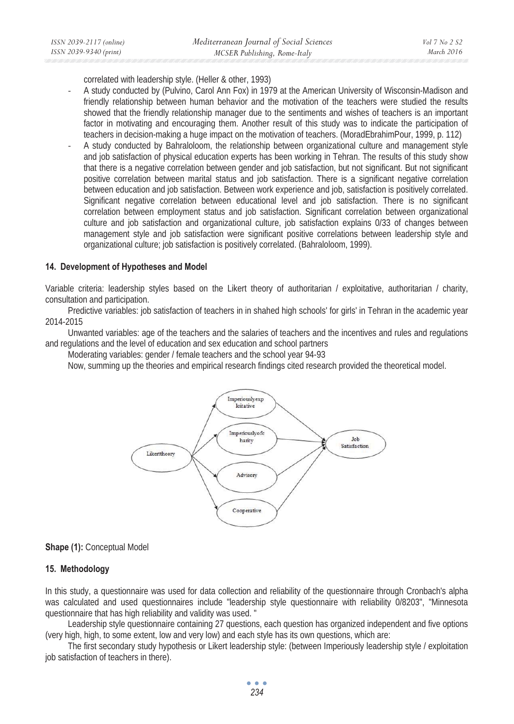correlated with leadership style. (Heller & other, 1993)

- A study conducted by (Pulvino, Carol Ann Fox) in 1979 at the American University of Wisconsin-Madison and friendly relationship between human behavior and the motivation of the teachers were studied the results showed that the friendly relationship manager due to the sentiments and wishes of teachers is an important factor in motivating and encouraging them. Another result of this study was to indicate the participation of teachers in decision-making a huge impact on the motivation of teachers. (MoradEbrahimPour, 1999, p. 112)
- A study conducted by Bahraloloom, the relationship between organizational culture and management style and job satisfaction of physical education experts has been working in Tehran. The results of this study show that there is a negative correlation between gender and job satisfaction, but not significant. But not significant positive correlation between marital status and job satisfaction. There is a significant negative correlation between education and job satisfaction. Between work experience and job, satisfaction is positively correlated. Significant negative correlation between educational level and job satisfaction. There is no significant correlation between employment status and job satisfaction. Significant correlation between organizational culture and job satisfaction and organizational culture, job satisfaction explains 0/33 of changes between management style and job satisfaction were significant positive correlations between leadership style and organizational culture; job satisfaction is positively correlated. (Bahraloloom, 1999).

#### **14. Development of Hypotheses and Model**

Variable criteria: leadership styles based on the Likert theory of authoritarian / exploitative, authoritarian / charity, consultation and participation.

Predictive variables: job satisfaction of teachers in in shahed high schools' for girls' in Tehran in the academic year 2014-2015

Unwanted variables: age of the teachers and the salaries of teachers and the incentives and rules and regulations and regulations and the level of education and sex education and school partners

Moderating variables: gender / female teachers and the school year 94-93

Now, summing up the theories and empirical research findings cited research provided the theoretical model.



#### **Shape (1):** Conceptual Model

#### **15. Methodology**

In this study, a questionnaire was used for data collection and reliability of the questionnaire through Cronbach's alpha was calculated and used questionnaires include "leadership style questionnaire with reliability 0/8203", "Minnesota questionnaire that has high reliability and validity was used. "

Leadership style questionnaire containing 27 questions, each question has organized independent and five options (very high, high, to some extent, low and very low) and each style has its own questions, which are:

The first secondary study hypothesis or Likert leadership style: (between Imperiously leadership style / exploitation job satisfaction of teachers in there).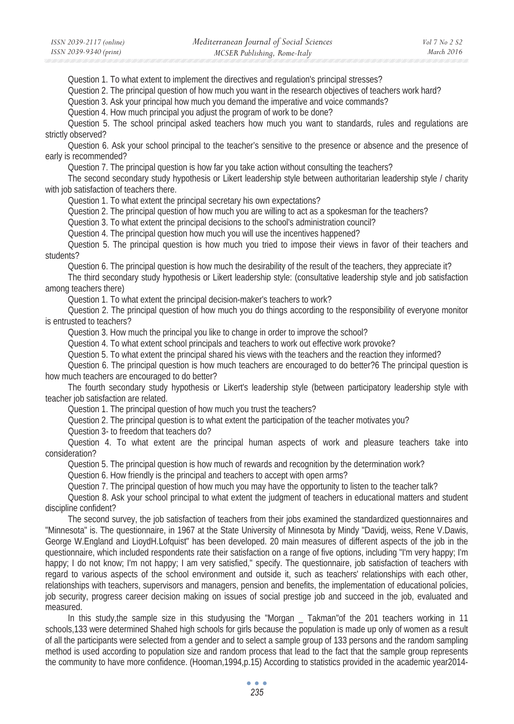Question 1. To what extent to implement the directives and regulation's principal stresses?

Question 2. The principal question of how much you want in the research objectives of teachers work hard?

Question 3. Ask your principal how much you demand the imperative and voice commands?

Question 4. How much principal you adjust the program of work to be done?

Question 5. The school principal asked teachers how much you want to standards, rules and regulations are strictly observed?

Question 6. Ask your school principal to the teacher's sensitive to the presence or absence and the presence of early is recommended?

Question 7. The principal question is how far you take action without consulting the teachers?

The second secondary study hypothesis or Likert leadership style between authoritarian leadership style / charity with job satisfaction of teachers there.

Question 1. To what extent the principal secretary his own expectations?

Question 2. The principal question of how much you are willing to act as a spokesman for the teachers?

Question 3. To what extent the principal decisions to the school's administration council?

Question 4. The principal question how much you will use the incentives happened?

Question 5. The principal question is how much you tried to impose their views in favor of their teachers and students?

Question 6. The principal question is how much the desirability of the result of the teachers, they appreciate it?

The third secondary study hypothesis or Likert leadership style: (consultative leadership style and job satisfaction among teachers there)

Question 1. To what extent the principal decision-maker's teachers to work?

Question 2. The principal question of how much you do things according to the responsibility of everyone monitor is entrusted to teachers?

Question 3. How much the principal you like to change in order to improve the school?

Question 4. To what extent school principals and teachers to work out effective work provoke?

Question 5. To what extent the principal shared his views with the teachers and the reaction they informed?

Question 6. The principal question is how much teachers are encouraged to do better?6 The principal question is how much teachers are encouraged to do better?

The fourth secondary study hypothesis or Likert's leadership style (between participatory leadership style with teacher job satisfaction are related.

Question 1. The principal question of how much you trust the teachers?

Question 2. The principal question is to what extent the participation of the teacher motivates you?

Question 3- to freedom that teachers do?

Question 4. To what extent are the principal human aspects of work and pleasure teachers take into consideration?

Question 5. The principal question is how much of rewards and recognition by the determination work?

Question 6. How friendly is the principal and teachers to accept with open arms?

Question 7. The principal question of how much you may have the opportunity to listen to the teacher talk?

Question 8. Ask your school principal to what extent the judgment of teachers in educational matters and student discipline confident?

The second survey, the job satisfaction of teachers from their jobs examined the standardized questionnaires and "Minnesota" is. The questionnaire, in 1967 at the State University of Minnesota by Mindy "Davidj, weiss, Rene V.Dawis, George W.England and LioydH.Lofquist" has been developed. 20 main measures of different aspects of the job in the questionnaire, which included respondents rate their satisfaction on a range of five options, including "I'm very happy; I'm happy; I do not know; I'm not happy; I am very satisfied," specify. The questionnaire, job satisfaction of teachers with regard to various aspects of the school environment and outside it, such as teachers' relationships with each other, relationships with teachers, supervisors and managers, pension and benefits, the implementation of educational policies, job security, progress career decision making on issues of social prestige job and succeed in the job, evaluated and measured.

In this study,the sample size in this studyusing the "Morgan \_ Takman"of the 201 teachers working in 11 schools,133 were determined Shahed high schools for girls because the population is made up only of women as a result of all the participants were selected from a gender and to select a sample group of 133 persons and the random sampling method is used according to population size and random process that lead to the fact that the sample group represents the community to have more confidence. (Hooman,1994,p.15) According to statistics provided in the academic year2014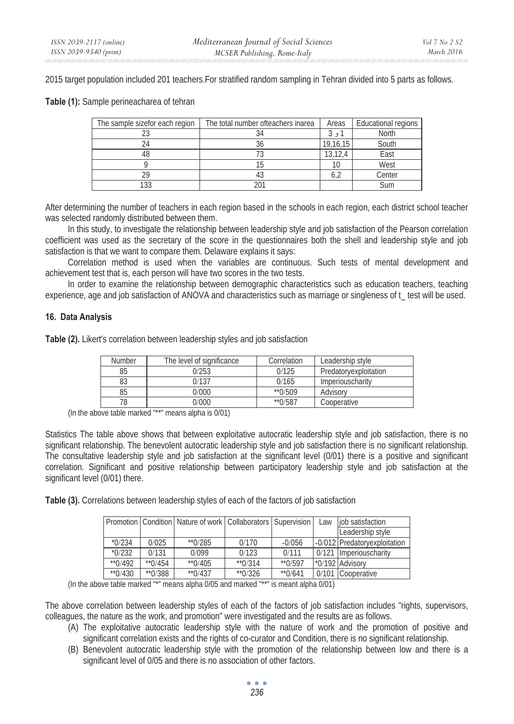2015 target population included 201 teachers.For stratified random sampling in Tehran divided into 5 parts as follows.

**Table (1):** Sample perineacharea of tehran

| The sample sizefor each region | The total number ofteachers inarea | Areas    | Educational regions |
|--------------------------------|------------------------------------|----------|---------------------|
|                                |                                    |          | North               |
|                                | 36                                 | 19,16,15 | South               |
|                                |                                    | 13.12.4  | East                |
|                                |                                    |          | West                |
|                                |                                    |          | Center              |
| 133                            |                                    |          | Sum                 |

After determining the number of teachers in each region based in the schools in each region, each district school teacher was selected randomly distributed between them.

In this study, to investigate the relationship between leadership style and job satisfaction of the Pearson correlation coefficient was used as the secretary of the score in the questionnaires both the shell and leadership style and job satisfaction is that we want to compare them. Delaware explains it says:

Correlation method is used when the variables are continuous. Such tests of mental development and achievement test that is, each person will have two scores in the two tests.

In order to examine the relationship between demographic characteristics such as education teachers, teaching experience, age and job satisfaction of ANOVA and characteristics such as marriage or singleness of t\_ test will be used.

# **16. Data Analysis**

**Table (2).** Likert's correlation between leadership styles and job satisfaction

| <b>Number</b> | The level of significance | Correlation | Leadership style      |
|---------------|---------------------------|-------------|-----------------------|
| 85            | 0/253                     | 0/125       | Predatoryexploitation |
| 83            | 0/137                     | 0/165       | Imperiouscharity      |
| 85            | 0/000                     | ** $0/509$  | Advisory              |
| 78            | 0/000                     | $*$ 0/587   | Cooperative           |

(In the above table marked "\*\*" means alpha is 0/01)

Statistics The table above shows that between exploitative autocratic leadership style and job satisfaction, there is no significant relationship. The benevolent autocratic leadership style and job satisfaction there is no significant relationship. The consultative leadership style and job satisfaction at the significant level (0/01) there is a positive and significant correlation. Significant and positive relationship between participatory leadership style and job satisfaction at the significant level (0/01) there.

**Table (3).** Correlations between leadership styles of each of the factors of job satisfaction

|             |            | Promotion   Condition   Nature of work   Collaborators   Supervision |            |            | Law   | liob satisfaction            |
|-------------|------------|----------------------------------------------------------------------|------------|------------|-------|------------------------------|
|             |            |                                                                      |            |            |       | Leadership style             |
| $*0/234$    | 0/025      | $*$ 0/285                                                            | 0/170      | $-0/056$   |       | -0/012 Predatoryexploitation |
| $*0/232$    | 0/131      | 0/099                                                                | 0/123      | 0/111      |       | 0/121 Imperiouscharity       |
| ** $0/492$  | ** $0/454$ | $*$ 0/405                                                            | ** $0/314$ | ** $0/597$ |       | *0/192 Advisory              |
| $*$ $0/430$ | **0/388    | $*$ 0/437                                                            | $*$ 0/326  | ** $0/641$ | 0/101 | Cooperative                  |

(In the above table marked "\*" means alpha 0/05 and marked "\*\*" is meant alpha 0/01)

The above correlation between leadership styles of each of the factors of job satisfaction includes "rights, supervisors, colleagues, the nature as the work, and promotion" were investigated and the results are as follows.

- (A) The exploitative autocratic leadership style with the nature of work and the promotion of positive and significant correlation exists and the rights of co-curator and Condition, there is no significant relationship.
- (B) Benevolent autocratic leadership style with the promotion of the relationship between low and there is a significant level of 0/05 and there is no association of other factors.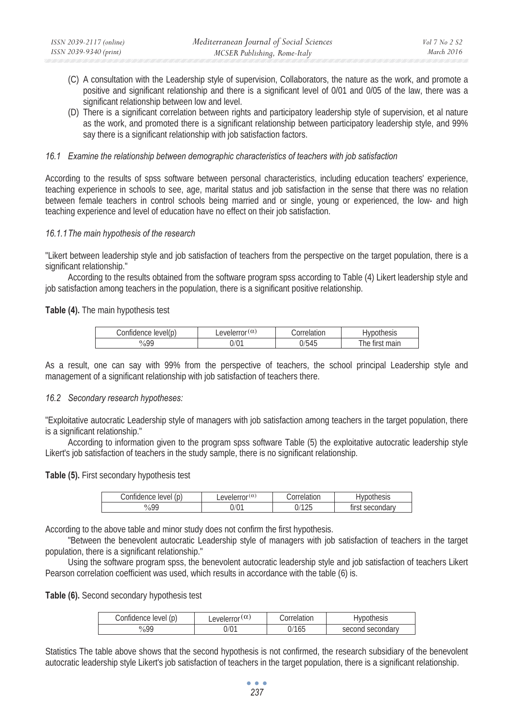- (C) A consultation with the Leadership style of supervision, Collaborators, the nature as the work, and promote a positive and significant relationship and there is a significant level of 0/01 and 0/05 of the law, there was a significant relationship between low and level.
- (D) There is a significant correlation between rights and participatory leadership style of supervision, et al nature as the work, and promoted there is a significant relationship between participatory leadership style, and 99% say there is a significant relationship with job satisfaction factors.

#### *16.1 Examine the relationship between demographic characteristics of teachers with job satisfaction*

According to the results of spss software between personal characteristics, including education teachers' experience, teaching experience in schools to see, age, marital status and job satisfaction in the sense that there was no relation between female teachers in control schools being married and or single, young or experienced, the low- and high teaching experience and level of education have no effect on their job satisfaction.

#### *16.1.1The main hypothesis of the research*

"Likert between leadership style and job satisfaction of teachers from the perspective on the target population, there is a significant relationship."

According to the results obtained from the software program spss according to Table (4) Likert leadership style and job satisfaction among teachers in the population, there is a significant positive relationship.

# **Table (4).** The main hypothesis test

| $\mathbf{r}$<br>and a security of the local<br><u>IAVALL</u><br>ت<br>.<br>н | $(\alpha$<br>rror<br>AVAIA | nrı<br>ΡИ<br>Οľ | ----       |
|-----------------------------------------------------------------------------|----------------------------|-----------------|------------|
| %99                                                                         | J/0 <sup>1</sup>           | ገ4.             | he<br>main |

As a result, one can say with 99% from the perspective of teachers, the school principal Leadership style and management of a significant relationship with job satisfaction of teachers there.

#### *16.2 Secondary research hypotheses:*

"Exploitative autocratic Leadership style of managers with job satisfaction among teachers in the target population, there is a significant relationship."

According to information given to the program spss software Table (5) the exploitative autocratic leadership style Likert's job satisfaction of teachers in the study sample, there is no significant relationship.

#### **Table (5).** First secondary hypothesis test

| (D)<br>ontide.<br><b>AVAL</b><br>.<br>$\overline{\phantom{a}}$ | rror $^{(\alpha)}$<br>AVAIA | elation<br>. or |            |
|----------------------------------------------------------------|-----------------------------|-----------------|------------|
| %99                                                            | 0/01                        | .1197           | ondar<br>Ш |

According to the above table and minor study does not confirm the first hypothesis.

"Between the benevolent autocratic Leadership style of managers with job satisfaction of teachers in the target population, there is a significant relationship."

Using the software program spss, the benevolent autocratic leadership style and job satisfaction of teachers Likert Pearson correlation coefficient was used, which results in accordance with the table (6) is.

**Table (6).** Second secondary hypothesis test

| Confidence level (p) | $\sim$<br>.evelerror ( $^{\alpha}$ ) | Correlation | <b>Hypothesis</b>          |
|----------------------|--------------------------------------|-------------|----------------------------|
| %99                  | 0/01                                 | 0/165       | secondary<br>ser<br>00 O O |

Statistics The table above shows that the second hypothesis is not confirmed, the research subsidiary of the benevolent autocratic leadership style Likert's job satisfaction of teachers in the target population, there is a significant relationship.

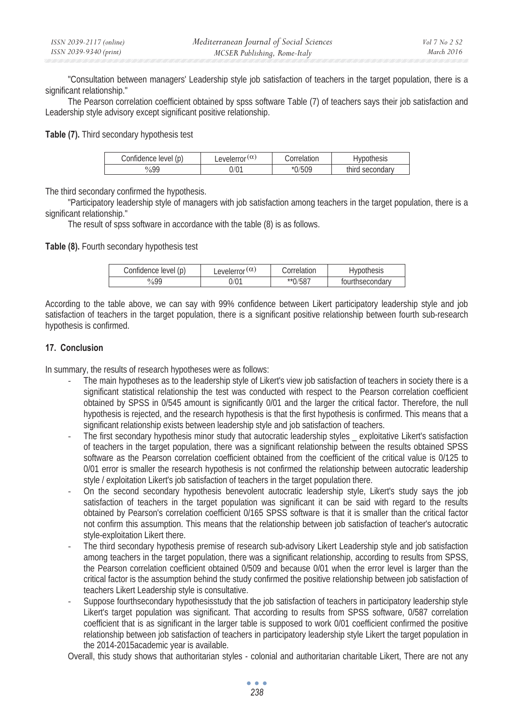"Consultation between managers' Leadership style job satisfaction of teachers in the target population, there is a significant relationship."

The Pearson correlation coefficient obtained by spss software Table (7) of teachers says their job satisfaction and Leadership style advisory except significant positive relationship.

**Table (7).** Third secondary hypothesis test

| ence level (p)<br>Confidencr | rror $^{(\alpha)}$<br>eveleti | elation<br>ا ال | منصطا<br>voinesis<br>$\mathbf{u}$ |
|------------------------------|-------------------------------|-----------------|-----------------------------------|
| $\Omega$<br>077              | 0/01                          | U/50            |                                   |

The third secondary confirmed the hypothesis.

"Participatory leadership style of managers with job satisfaction among teachers in the target population, there is a significant relationship."

The result of spss software in accordance with the table (8) is as follows.

**Table (8).** Fourth secondary hypothesis test

| Confidence level (p) | evelerror $(\alpha)$ | Correlation | <b>Hypothesis</b> |
|----------------------|----------------------|-------------|-------------------|
| %99                  | 0/01                 |             | fourthsecondarv   |

According to the table above, we can say with 99% confidence between Likert participatory leadership style and job satisfaction of teachers in the target population, there is a significant positive relationship between fourth sub-research hypothesis is confirmed.

# **17. Conclusion**

In summary, the results of research hypotheses were as follows:

- The main hypotheses as to the leadership style of Likert's view job satisfaction of teachers in society there is a significant statistical relationship the test was conducted with respect to the Pearson correlation coefficient obtained by SPSS in 0/545 amount is significantly 0/01 and the larger the critical factor. Therefore, the null hypothesis is rejected, and the research hypothesis is that the first hypothesis is confirmed. This means that a significant relationship exists between leadership style and job satisfaction of teachers.
- The first secondary hypothesis minor study that autocratic leadership styles exploitative Likert's satisfaction of teachers in the target population, there was a significant relationship between the results obtained SPSS software as the Pearson correlation coefficient obtained from the coefficient of the critical value is 0/125 to 0/01 error is smaller the research hypothesis is not confirmed the relationship between autocratic leadership style / exploitation Likert's job satisfaction of teachers in the target population there.
- On the second secondary hypothesis benevolent autocratic leadership style, Likert's study says the job satisfaction of teachers in the target population was significant it can be said with regard to the results obtained by Pearson's correlation coefficient 0/165 SPSS software is that it is smaller than the critical factor not confirm this assumption. This means that the relationship between job satisfaction of teacher's autocratic style-exploitation Likert there.
- The third secondary hypothesis premise of research sub-advisory Likert Leadership style and job satisfaction among teachers in the target population, there was a significant relationship, according to results from SPSS, the Pearson correlation coefficient obtained 0/509 and because 0/01 when the error level is larger than the critical factor is the assumption behind the study confirmed the positive relationship between job satisfaction of teachers Likert Leadership style is consultative.
- Suppose fourthsecondary hypothesisstudy that the job satisfaction of teachers in participatory leadership style Likert's target population was significant. That according to results from SPSS software, 0/587 correlation coefficient that is as significant in the larger table is supposed to work 0/01 coefficient confirmed the positive relationship between job satisfaction of teachers in participatory leadership style Likert the target population in the 2014-2015academic year is available.

Overall, this study shows that authoritarian styles - colonial and authoritarian charitable Likert, There are not any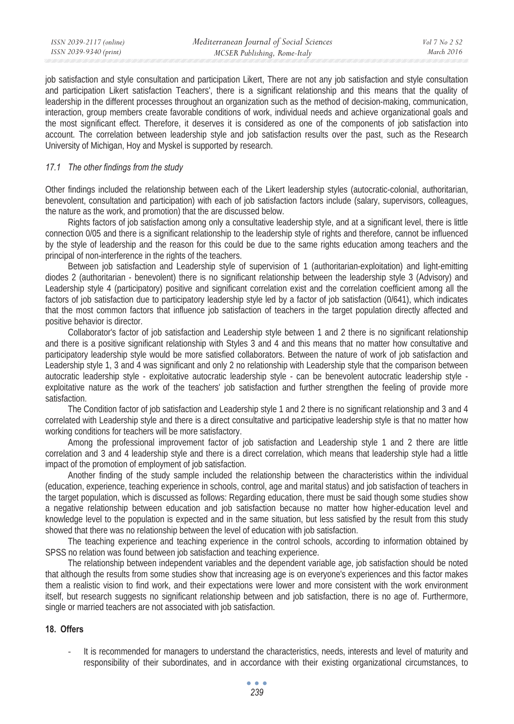| ISSN 2039-2117 (online) | Mediterranean Journal of Social Sciences | Vol 7 No 2 S2 |
|-------------------------|------------------------------------------|---------------|
| ISSN 2039-9340 (print)  | MCSER Publishing, Rome-Italy             | March 2016    |

job satisfaction and style consultation and participation Likert, There are not any job satisfaction and style consultation and participation Likert satisfaction Teachers', there is a significant relationship and this means that the quality of leadership in the different processes throughout an organization such as the method of decision-making, communication, interaction, group members create favorable conditions of work, individual needs and achieve organizational goals and the most significant effect. Therefore, it deserves it is considered as one of the components of job satisfaction into account. The correlation between leadership style and job satisfaction results over the past, such as the Research University of Michigan, Hoy and Myskel is supported by research.

#### *17.1 The other findings from the study*

Other findings included the relationship between each of the Likert leadership styles (autocratic-colonial, authoritarian, benevolent, consultation and participation) with each of job satisfaction factors include (salary, supervisors, colleagues, the nature as the work, and promotion) that the are discussed below.

Rights factors of job satisfaction among only a consultative leadership style, and at a significant level, there is little connection 0/05 and there is a significant relationship to the leadership style of rights and therefore, cannot be influenced by the style of leadership and the reason for this could be due to the same rights education among teachers and the principal of non-interference in the rights of the teachers.

Between job satisfaction and Leadership style of supervision of 1 (authoritarian-exploitation) and light-emitting diodes 2 (authoritarian - benevolent) there is no significant relationship between the leadership style 3 (Advisory) and Leadership style 4 (participatory) positive and significant correlation exist and the correlation coefficient among all the factors of job satisfaction due to participatory leadership style led by a factor of job satisfaction (0/641), which indicates that the most common factors that influence job satisfaction of teachers in the target population directly affected and positive behavior is director.

Collaborator's factor of job satisfaction and Leadership style between 1 and 2 there is no significant relationship and there is a positive significant relationship with Styles 3 and 4 and this means that no matter how consultative and participatory leadership style would be more satisfied collaborators. Between the nature of work of job satisfaction and Leadership style 1, 3 and 4 was significant and only 2 no relationship with Leadership style that the comparison between autocratic leadership style - exploitative autocratic leadership style - can be benevolent autocratic leadership style exploitative nature as the work of the teachers' job satisfaction and further strengthen the feeling of provide more satisfaction.

The Condition factor of job satisfaction and Leadership style 1 and 2 there is no significant relationship and 3 and 4 correlated with Leadership style and there is a direct consultative and participative leadership style is that no matter how working conditions for teachers will be more satisfactory.

Among the professional improvement factor of job satisfaction and Leadership style 1 and 2 there are little correlation and 3 and 4 leadership style and there is a direct correlation, which means that leadership style had a little impact of the promotion of employment of job satisfaction.

Another finding of the study sample included the relationship between the characteristics within the individual (education, experience, teaching experience in schools, control, age and marital status) and job satisfaction of teachers in the target population, which is discussed as follows: Regarding education, there must be said though some studies show a negative relationship between education and job satisfaction because no matter how higher-education level and knowledge level to the population is expected and in the same situation, but less satisfied by the result from this study showed that there was no relationship between the level of education with job satisfaction.

The teaching experience and teaching experience in the control schools, according to information obtained by SPSS no relation was found between job satisfaction and teaching experience.

The relationship between independent variables and the dependent variable age, job satisfaction should be noted that although the results from some studies show that increasing age is on everyone's experiences and this factor makes them a realistic vision to find work, and their expectations were lower and more consistent with the work environment itself, but research suggests no significant relationship between and job satisfaction, there is no age of. Furthermore, single or married teachers are not associated with job satisfaction.

#### **18. Offers**

It is recommended for managers to understand the characteristics, needs, interests and level of maturity and responsibility of their subordinates, and in accordance with their existing organizational circumstances, to